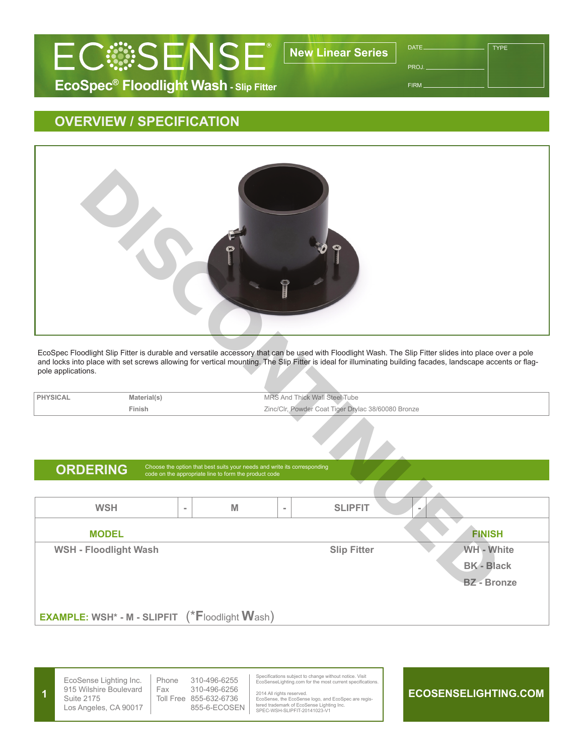

PROJ.

**TYPE** 

FIRM

## **OVERVIEW / SPECIFICATION**



EcoSpec Floodlight Slip Fitter is durable and versatile accessory that can be used with Floodlight Wash. The Slip Fitter slides into place over a pole and locks into place with set screws allowing for vertical mounting. The Slip Fitter is ideal for illuminating building facades, landscape accents or flagpole applications.

**PHYSICAL** Material(s) Material(s) MRS And Thick Wall Steel Tube **Finish** Zinc/Clr, Powder Coat Tiger Drylac 38/60080 Bronze

## ORDERING Choose the option that best suits your needs and write its corresponding code on the appropriate line to form the product code

**WSH - M - SLIPFIT - MODEL FINISH WSH - Floodlight Wash <b>Slip Fitter** WH - White **BK - Black BZ - Bronze**

**EXAMPLE: WSH\* - M - SLIPFIT** (\***F**loodlight **W**ash)



EcoSense Lighting Inc. 915 Wilshire Boulevard Suite 2175 Los Angeles, CA 90017

Phone 310-496-6255 Fax 310-496-6256 Toll Free 855-632-6736 855-6-ECOSEN Specifications subject to change without notice. Visit EcoSenseLighting.com for the most current specifications.

2014 All rights reserved. EcoSense, the EcoSense logo, and EcoSpec are regis-tered trademark of EcoSense Lighting Inc. SPEC-WSH-SLIPFIT-20141023-V1

## **ECOSENSELIGHTING.COM**